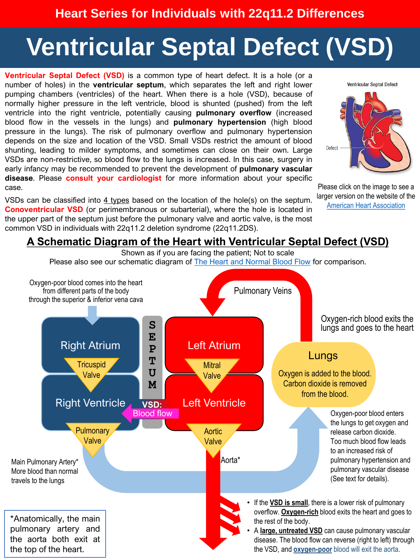# **Ventricular Septal Defect (VSD)**

**Ventricular Septal Defect (VSD)** is a common type of heart defect. It is a hole (or a number of holes) in the **ventricular septum**, which separates the left and right lower pumping chambers (ventricles) of the heart. When there is a hole (VSD), because of normally higher pressure in the left ventricle, blood is shunted (pushed) from the left ventricle into the right ventricle, potentially causing **pulmonary overflow** (increased blood flow in the vessels in the lungs) and **pulmonary hypertension** (high blood pressure in the lungs). The risk of pulmonary overflow and pulmonary hypertension depends on the size and location of the VSD. Small VSDs restrict the amount of blood shunting, leading to milder symptoms, and sometimes can close on their own. Large VSDs are non-restrictive, so blood flow to the lungs is increased. In this case, surgery in early infancy may be recommended to prevent the development of **pulmonary vascular disease**. Please **consult your cardiologist** for more information about your specific case.

VSDs can be classified into 4 [types](https://www.cdc.gov/ncbddd/heartdefects/ventricularseptaldefect.html) based on the location of the hole(s) on the septum. **Conoventricular VSD** (or perimembranous or subarterial), where the hole is located in the upper part of the septum just before the pulmonary valve and aortic valve, is the most common VSD in individuals with 22q11.2 deletion syndrome (22q11.2DS).



Please click on the image to see a larger version on the website of the [American Heart Association](https://www.heart.org/en/health-topics/congenital-heart-defects/about-congenital-heart-defects/ventricular-septal-defect-vsd)

#### **A Schematic Diagram of the Heart with Ventricular Septal Defect (VSD)**